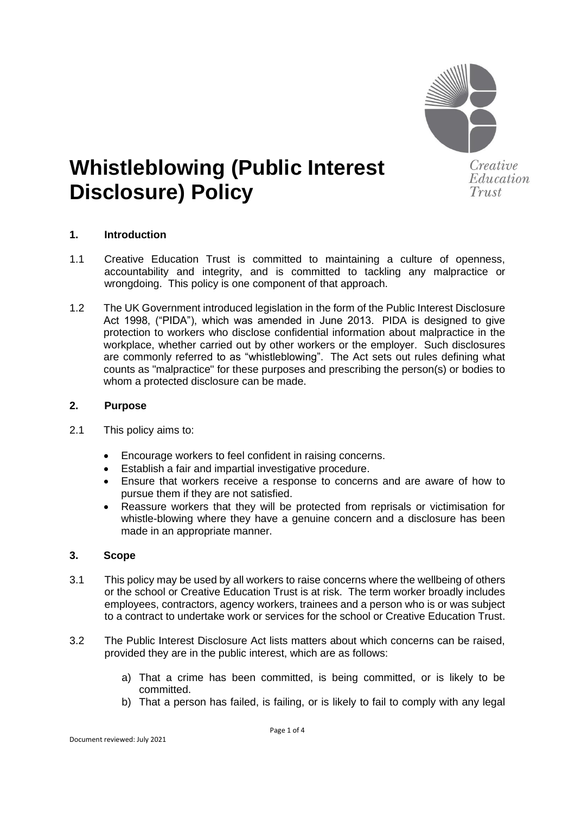

# **Whistleblowing (Public Interest Disclosure) Policy**

**1. Introduction**

- 1.1 Creative Education Trust is committed to maintaining a culture of openness, accountability and integrity, and is committed to tackling any malpractice or wrongdoing. This policy is one component of that approach.
- 1.2 The UK Government introduced legislation in the form of the Public Interest Disclosure Act 1998, ("PIDA"), which was amended in June 2013. PIDA is designed to give protection to workers who disclose confidential information about malpractice in the workplace, whether carried out by other workers or the employer. Such disclosures are commonly referred to as "whistleblowing". The Act sets out rules defining what counts as "malpractice" for these purposes and prescribing the person(s) or bodies to whom a protected disclosure can be made.

#### **2. Purpose**

- 2.1 This policy aims to:
	- Encourage workers to feel confident in raising concerns.
	- Establish a fair and impartial investigative procedure.
	- Ensure that workers receive a response to concerns and are aware of how to pursue them if they are not satisfied.
	- Reassure workers that they will be protected from reprisals or victimisation for whistle-blowing where they have a genuine concern and a disclosure has been made in an appropriate manner.

#### **3. Scope**

- 3.1 This policy may be used by all workers to raise concerns where the wellbeing of others or the school or Creative Education Trust is at risk. The term worker broadly includes employees, contractors, agency workers, trainees and a person who is or was subject to a contract to undertake work or services for the school or Creative Education Trust.
- 3.2 The Public Interest Disclosure Act lists matters about which concerns can be raised, provided they are in the public interest, which are as follows:
	- a) That a crime has been committed, is being committed, or is likely to be committed.
	- b) That a person has failed, is failing, or is likely to fail to comply with any legal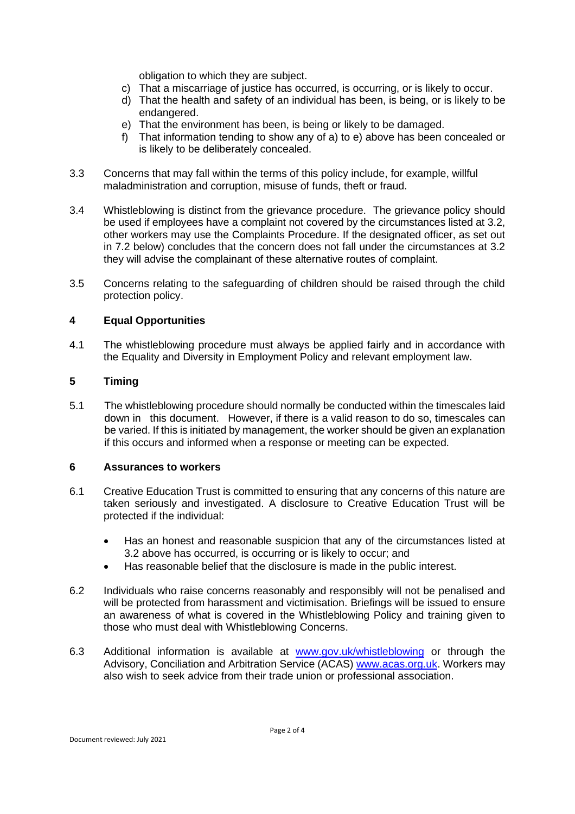obligation to which they are subject.

- c) That a miscarriage of justice has occurred, is occurring, or is likely to occur.
- d) That the health and safety of an individual has been, is being, or is likely to be endangered.
- e) That the environment has been, is being or likely to be damaged.
- f) That information tending to show any of a) to e) above has been concealed or is likely to be deliberately concealed.
- 3.3 Concerns that may fall within the terms of this policy include, for example, willful maladministration and corruption, misuse of funds, theft or fraud.
- 3.4 Whistleblowing is distinct from the grievance procedure. The grievance policy should be used if employees have a complaint not covered by the circumstances listed at 3.2, other workers may use the Complaints Procedure. If the designated officer, as set out in 7.2 below) concludes that the concern does not fall under the circumstances at 3.2 they will advise the complainant of these alternative routes of complaint.
- 3.5 Concerns relating to the safeguarding of children should be raised through the child protection policy.

# **4 Equal Opportunities**

4.1 The whistleblowing procedure must always be applied fairly and in accordance with the Equality and Diversity in Employment Policy and relevant employment law.

# **5 Timing**

5.1 The whistleblowing procedure should normally be conducted within the timescales laid down in this document. However, if there is a valid reason to do so, timescales can be varied. If this is initiated by management, the worker should be given an explanation if this occurs and informed when a response or meeting can be expected.

#### **6 Assurances to workers**

- 6.1 Creative Education Trust is committed to ensuring that any concerns of this nature are taken seriously and investigated. A disclosure to Creative Education Trust will be protected if the individual:
	- Has an honest and reasonable suspicion that any of the circumstances listed at 3.2 above has occurred, is occurring or is likely to occur; and
	- Has reasonable belief that the disclosure is made in the public interest.
- 6.2 Individuals who raise concerns reasonably and responsibly will not be penalised and will be protected from harassment and victimisation. Briefings will be issued to ensure an awareness of what is covered in the Whistleblowing Policy and training given to those who must deal with Whistleblowing Concerns.
- 6.3 Additional information is available at [www.gov.uk/whistleblowing](http://www.gov.uk/whistleblowing) or through the Advisory, Conciliation and Arbitration Service (ACAS) [www.acas.org.uk.](http://www.acas.org.uk/) Workers may also wish to seek advice from their trade union or professional association.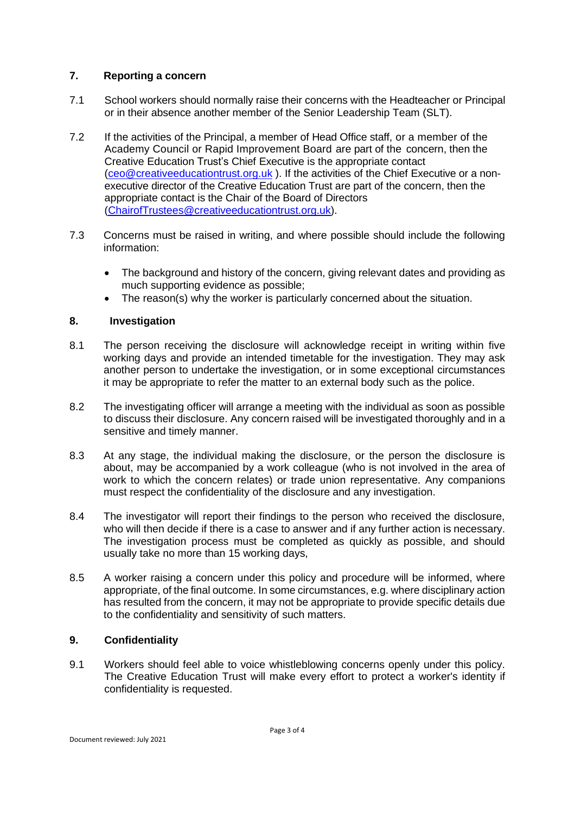#### **7. Reporting a concern**

- 7.1 School workers should normally raise their concerns with the Headteacher or Principal or in their absence another member of the Senior Leadership Team (SLT).
- 7.2 If the activities of the Principal, a member of Head Office staff, or a member of the Academy Council or Rapid Improvement Board are part of the concern, then the Creative Education Trust's Chief Executive is the appropriate contact [\(ceo@creativeeducationtrust.org.uk](mailto:ceo@creativeeducationtrust.org.uk) ). If the activities of the Chief Executive or a nonexecutive director of the Creative Education Trust are part of the concern, then the appropriate contact is the Chair of the Board of Directors [\(ChairofTrustees@creativeeducationtrust.org.uk\)](mailto:ChairofTrustees@creativeeducationtrust.org.uk).
- 7.3 Concerns must be raised in writing, and where possible should include the following information:
	- The background and history of the concern, giving relevant dates and providing as much supporting evidence as possible;
	- The reason(s) why the worker is particularly concerned about the situation.

# **8. Investigation**

- 8.1 The person receiving the disclosure will acknowledge receipt in writing within five working days and provide an intended timetable for the investigation. They may ask another person to undertake the investigation, or in some exceptional circumstances it may be appropriate to refer the matter to an external body such as the police.
- 8.2 The investigating officer will arrange a meeting with the individual as soon as possible to discuss their disclosure. Any concern raised will be investigated thoroughly and in a sensitive and timely manner.
- 8.3 At any stage, the individual making the disclosure, or the person the disclosure is about, may be accompanied by a work colleague (who is not involved in the area of work to which the concern relates) or trade union representative. Any companions must respect the confidentiality of the disclosure and any investigation.
- 8.4 The investigator will report their findings to the person who received the disclosure, who will then decide if there is a case to answer and if any further action is necessary. The investigation process must be completed as quickly as possible, and should usually take no more than 15 working days,
- 8.5 A worker raising a concern under this policy and procedure will be informed, where appropriate, of the final outcome. In some circumstances, e.g. where disciplinary action has resulted from the concern, it may not be appropriate to provide specific details due to the confidentiality and sensitivity of such matters.

# **9. Confidentiality**

9.1 Workers should feel able to voice whistleblowing concerns openly under this policy. The Creative Education Trust will make every effort to protect a worker's identity if confidentiality is requested.